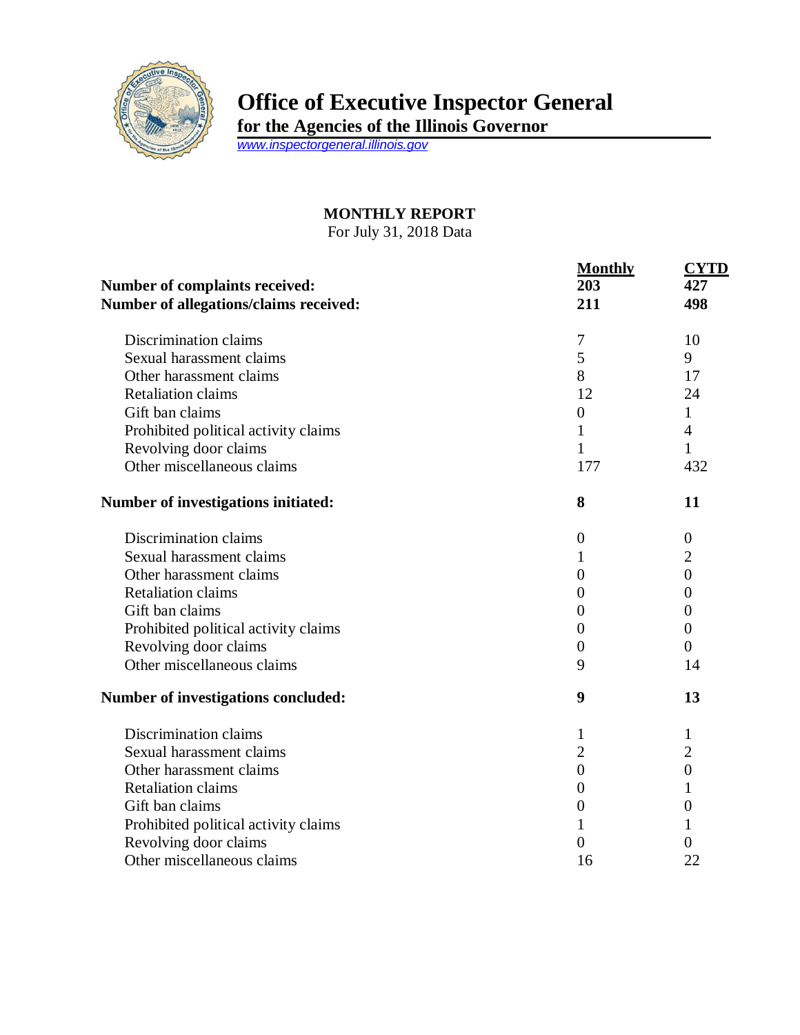

## **Office of Executive Inspector General**

**for the Agencies of the Illinois Governor**

*[www.inspectorgeneral.illinois.gov](http://www.inspectorgeneral.illinois.gov/)*

## **MONTHLY REPORT**

For July 31, 2018 Data

| <b>Number of complaints received:</b><br>Number of allegations/claims received: | <b>Monthly</b><br>203<br>211 | <b>CYTD</b><br>427<br>498 |
|---------------------------------------------------------------------------------|------------------------------|---------------------------|
| Discrimination claims                                                           | 7                            | 10                        |
| Sexual harassment claims                                                        | 5                            | 9                         |
| Other harassment claims                                                         | 8                            | 17                        |
| <b>Retaliation claims</b>                                                       | 12                           | 24                        |
| Gift ban claims                                                                 | $\boldsymbol{0}$             | $\mathbf{1}$              |
| Prohibited political activity claims                                            | 1                            | $\overline{4}$            |
| Revolving door claims                                                           | $\mathbf{1}$                 | $\mathbf{1}$              |
| Other miscellaneous claims                                                      | 177                          | 432                       |
| Number of investigations initiated:                                             | 8                            | 11                        |
| Discrimination claims                                                           | $\overline{0}$               | $\theta$                  |
| Sexual harassment claims                                                        | 1                            | $\overline{2}$            |
| Other harassment claims                                                         | $\boldsymbol{0}$             | $\overline{0}$            |
| <b>Retaliation claims</b>                                                       | $\boldsymbol{0}$             | $\theta$                  |
| Gift ban claims                                                                 | $\boldsymbol{0}$             | $\overline{0}$            |
| Prohibited political activity claims                                            | $\boldsymbol{0}$             | $\overline{0}$            |
| Revolving door claims                                                           | $\boldsymbol{0}$             | $\theta$                  |
| Other miscellaneous claims                                                      | 9                            | 14                        |
| Number of investigations concluded:                                             | 9                            | 13                        |
| Discrimination claims                                                           | 1                            | 1                         |
| Sexual harassment claims                                                        | $\overline{2}$               | $\overline{2}$            |
| Other harassment claims                                                         | $\boldsymbol{0}$             | $\overline{0}$            |
| <b>Retaliation claims</b>                                                       | $\boldsymbol{0}$             | 1                         |
| Gift ban claims                                                                 | $\boldsymbol{0}$             | $\boldsymbol{0}$          |
| Prohibited political activity claims                                            | 1                            | 1                         |
| Revolving door claims                                                           | $\overline{0}$               | 0                         |
| Other miscellaneous claims                                                      | 16                           | 22                        |